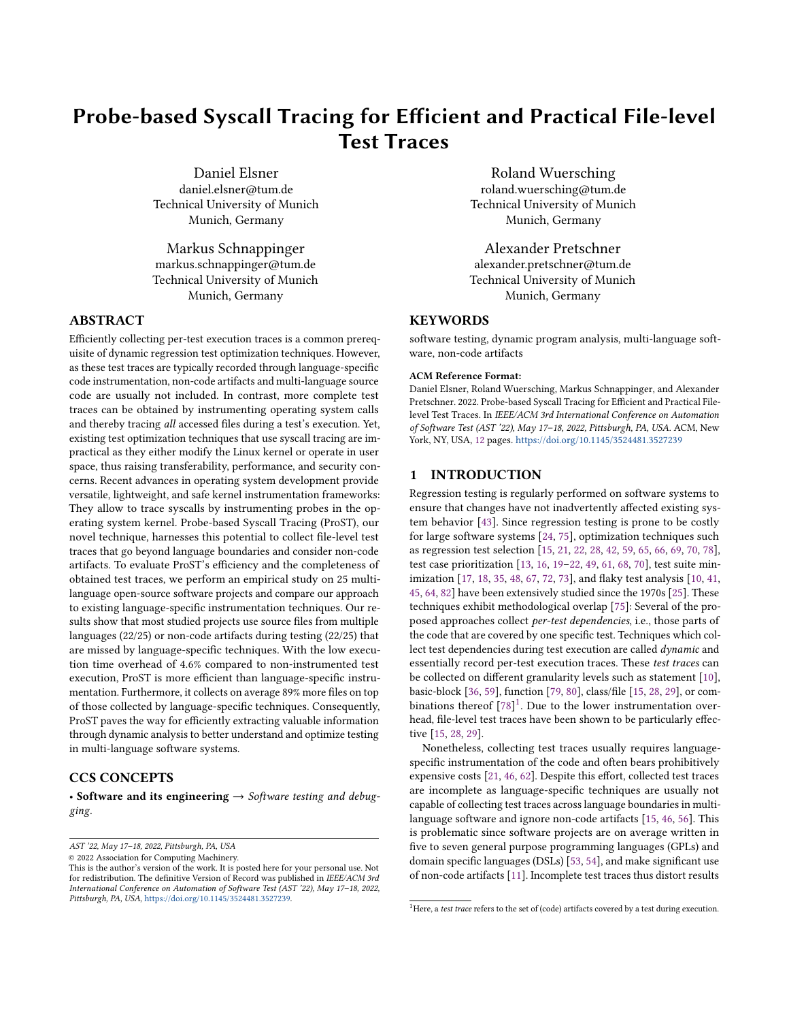# Probe-based Syscall Tracing for Efficient and Practical File-level Test Traces

Daniel Elsner daniel.elsner@tum.de Technical University of Munich Munich, Germany

Markus Schnappinger markus.schnappinger@tum.de Technical University of Munich Munich, Germany

# ABSTRACT

Efficiently collecting per-test execution traces is a common prerequisite of dynamic regression test optimization techniques. However, as these test traces are typically recorded through language-specific code instrumentation, non-code artifacts and multi-language source code are usually not included. In contrast, more complete test traces can be obtained by instrumenting operating system calls and thereby tracing all accessed files during a test's execution. Yet, existing test optimization techniques that use syscall tracing are impractical as they either modify the Linux kernel or operate in user space, thus raising transferability, performance, and security concerns. Recent advances in operating system development provide versatile, lightweight, and safe kernel instrumentation frameworks: They allow to trace syscalls by instrumenting probes in the operating system kernel. Probe-based Syscall Tracing (ProST), our novel technique, harnesses this potential to collect file-level test traces that go beyond language boundaries and consider non-code artifacts. To evaluate ProST's efficiency and the completeness of obtained test traces, we perform an empirical study on 25 multilanguage open-source software projects and compare our approach to existing language-specific instrumentation techniques. Our results show that most studied projects use source files from multiple languages (22/25) or non-code artifacts during testing (22/25) that are missed by language-specific techniques. With the low execution time overhead of 4.6% compared to non-instrumented test execution, ProST is more efficient than language-specific instrumentation. Furthermore, it collects on average 89% more files on top of those collected by language-specific techniques. Consequently, ProST paves the way for efficiently extracting valuable information through dynamic analysis to better understand and optimize testing in multi-language software systems.

# CCS CONCEPTS

• Software and its engineering  $\rightarrow$  Software testing and debugging.

© 2022 Association for Computing Machinery.

Roland Wuersching roland.wuersching@tum.de Technical University of Munich Munich, Germany

Alexander Pretschner alexander.pretschner@tum.de Technical University of Munich Munich, Germany

# **KEYWORDS**

software testing, dynamic program analysis, multi-language software, non-code artifacts

#### ACM Reference Format:

Daniel Elsner, Roland Wuersching, Markus Schnappinger, and Alexander Pretschner. 2022. Probe-based Syscall Tracing for Efficient and Practical Filelevel Test Traces. In IEEE/ACM 3rd International Conference on Automation of Software Test (AST '22), May 17–18, 2022, Pittsburgh, PA, USA. ACM, New York, NY, USA, [12](#page-11-0) pages. <https://doi.org/10.1145/3524481.3527239>

# 1 INTRODUCTION

Regression testing is regularly performed on software systems to ensure that changes have not inadvertently affected existing system behavior [\[43\]](#page-10-0). Since regression testing is prone to be costly for large software systems [\[24,](#page-10-1) [75\]](#page-11-1), optimization techniques such as regression test selection [\[15,](#page-10-2) [21,](#page-10-3) [22,](#page-10-4) [28,](#page-10-5) [42,](#page-10-6) [59,](#page-11-2) [65,](#page-11-3) [66,](#page-11-4) [69,](#page-11-5) [70,](#page-11-6) [78\]](#page-11-7), test case prioritization [\[13,](#page-10-7) [16,](#page-10-8) [19](#page-10-9)[–22,](#page-10-4) [49,](#page-10-10) [61,](#page-11-8) [68,](#page-11-9) [70\]](#page-11-6), test suite minimization [\[17,](#page-10-11) [18,](#page-10-12) [35,](#page-10-13) [48,](#page-10-14) [67,](#page-11-10) [72,](#page-11-11) [73\]](#page-11-12), and flaky test analysis [\[10,](#page-10-15) [41,](#page-10-16) [45,](#page-10-17) [64,](#page-11-13) [82\]](#page-11-14) have been extensively studied since the 1970s [\[25\]](#page-10-18). These techniques exhibit methodological overlap [\[75\]](#page-11-1): Several of the proposed approaches collect per-test dependencies, i.e., those parts of the code that are covered by one specific test. Techniques which collect test dependencies during test execution are called dynamic and essentially record per-test execution traces. These test traces can be collected on different granularity levels such as statement [\[10\]](#page-10-15), basic-block [\[36,](#page-10-19) [59\]](#page-11-2), function [\[79,](#page-11-15) [80\]](#page-11-16), class/file [\[15,](#page-10-2) [28,](#page-10-5) [29\]](#page-10-20), or combinations thereof  $[78]$ <sup>[1](#page-0-0)</sup>. Due to the lower instrumentation overhead, file-level test traces have been shown to be particularly effective [\[15,](#page-10-2) [28,](#page-10-5) [29\]](#page-10-20).

Nonetheless, collecting test traces usually requires languagespecific instrumentation of the code and often bears prohibitively expensive costs [\[21,](#page-10-3) [46,](#page-10-21) [62\]](#page-11-17). Despite this effort, collected test traces are incomplete as language-specific techniques are usually not capable of collecting test traces across language boundaries in multilanguage software and ignore non-code artifacts [\[15,](#page-10-2) [46,](#page-10-21) [56\]](#page-11-18). This is problematic since software projects are on average written in five to seven general purpose programming languages (GPLs) and domain specific languages (DSLs) [\[53,](#page-11-19) [54\]](#page-11-20), and make significant use of non-code artifacts [\[11\]](#page-10-22). Incomplete test traces thus distort results

AST '22, May 17–18, 2022, Pittsburgh, PA, USA

This is the author's version of the work. It is posted here for your personal use. Not for redistribution. The definitive Version of Record was published in IEEE/ACM 3rd International Conference on Automation of Software Test (AST '22), May 17–18, 2022, Pittsburgh, PA, USA, [https://doi.org/10.1145/3524481.3527239.](https://doi.org/10.1145/3524481.3527239)

<span id="page-0-0"></span><sup>&</sup>lt;sup>1</sup>Here, a test trace refers to the set of (code) artifacts covered by a test during execution.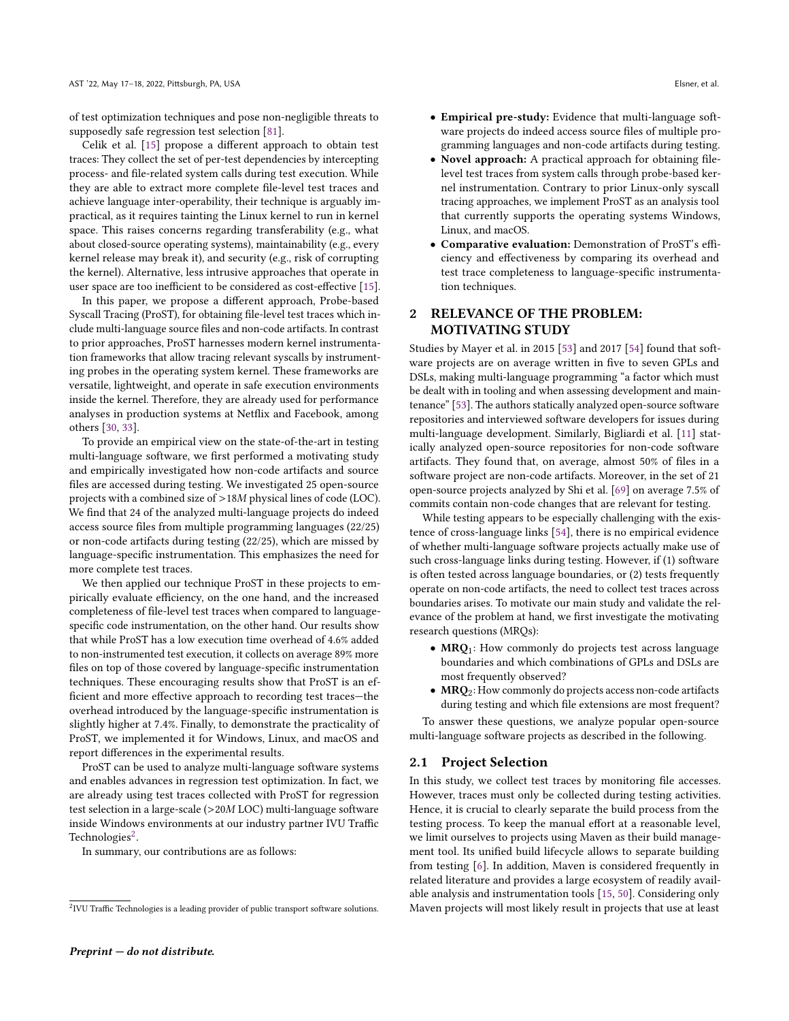of test optimization techniques and pose non-negligible threats to supposedly safe regression test selection [\[81\]](#page-11-21).

Celik et al. [\[15\]](#page-10-2) propose a different approach to obtain test traces: They collect the set of per-test dependencies by intercepting process- and file-related system calls during test execution. While they are able to extract more complete file-level test traces and achieve language inter-operability, their technique is arguably impractical, as it requires tainting the Linux kernel to run in kernel space. This raises concerns regarding transferability (e.g., what about closed-source operating systems), maintainability (e.g., every kernel release may break it), and security (e.g., risk of corrupting the kernel). Alternative, less intrusive approaches that operate in user space are too inefficient to be considered as cost-effective [\[15\]](#page-10-2).

In this paper, we propose a different approach, Probe-based Syscall Tracing (ProST), for obtaining file-level test traces which include multi-language source files and non-code artifacts. In contrast to prior approaches, ProST harnesses modern kernel instrumentation frameworks that allow tracing relevant syscalls by instrumenting probes in the operating system kernel. These frameworks are versatile, lightweight, and operate in safe execution environments inside the kernel. Therefore, they are already used for performance analyses in production systems at Netflix and Facebook, among others [\[30,](#page-10-23) [33\]](#page-10-24).

To provide an empirical view on the state-of-the-art in testing multi-language software, we first performed a motivating study and empirically investigated how non-code artifacts and source files are accessed during testing. We investigated 25 open-source projects with a combined size of >18<sup>M</sup> physical lines of code (LOC). We find that 24 of the analyzed multi-language projects do indeed access source files from multiple programming languages (22/25) or non-code artifacts during testing (22/25), which are missed by language-specific instrumentation. This emphasizes the need for more complete test traces.

We then applied our technique ProST in these projects to empirically evaluate efficiency, on the one hand, and the increased completeness of file-level test traces when compared to languagespecific code instrumentation, on the other hand. Our results show that while ProST has a low execution time overhead of 4.6% added to non-instrumented test execution, it collects on average 89% more files on top of those covered by language-specific instrumentation techniques. These encouraging results show that ProST is an efficient and more effective approach to recording test traces—the overhead introduced by the language-specific instrumentation is slightly higher at 7.4%. Finally, to demonstrate the practicality of ProST, we implemented it for Windows, Linux, and macOS and report differences in the experimental results.

ProST can be used to analyze multi-language software systems and enables advances in regression test optimization. In fact, we are already using test traces collected with ProST for regression test selection in a large-scale (>20<sup>M</sup> LOC) multi-language software inside Windows environments at our industry partner IVU Traffic Technologies<sup>[2](#page-1-0)</sup>.

In summary, our contributions are as follows:

- Empirical pre-study: Evidence that multi-language software projects do indeed access source files of multiple programming languages and non-code artifacts during testing.
- Novel approach: A practical approach for obtaining filelevel test traces from system calls through probe-based kernel instrumentation. Contrary to prior Linux-only syscall tracing approaches, we implement ProST as an analysis tool that currently supports the operating systems Windows, Linux, and macOS.
- Comparative evaluation: Demonstration of ProST's efficiency and effectiveness by comparing its overhead and test trace completeness to language-specific instrumentation techniques.

# <span id="page-1-1"></span>2 RELEVANCE OF THE PROBLEM: MOTIVATING STUDY

Studies by Mayer et al. in 2015 [\[53\]](#page-11-19) and 2017 [\[54\]](#page-11-20) found that software projects are on average written in five to seven GPLs and DSLs, making multi-language programming "a factor which must be dealt with in tooling and when assessing development and maintenance" [\[53\]](#page-11-19). The authors statically analyzed open-source software repositories and interviewed software developers for issues during multi-language development. Similarly, Bigliardi et al. [\[11\]](#page-10-22) statically analyzed open-source repositories for non-code software artifacts. They found that, on average, almost 50% of files in a software project are non-code artifacts. Moreover, in the set of 21 open-source projects analyzed by Shi et al. [\[69\]](#page-11-5) on average 7.5% of commits contain non-code changes that are relevant for testing.

While testing appears to be especially challenging with the existence of cross-language links [\[54\]](#page-11-20), there is no empirical evidence of whether multi-language software projects actually make use of such cross-language links during testing. However, if (1) software is often tested across language boundaries, or (2) tests frequently operate on non-code artifacts, the need to collect test traces across boundaries arises. To motivate our main study and validate the relevance of the problem at hand, we first investigate the motivating research questions (MRQs):

- MRQ<sub>1</sub>: How commonly do projects test across language boundaries and which combinations of GPLs and DSLs are most frequently observed?
- MRO<sub>2</sub>: How commonly do projects access non-code artifacts during testing and which file extensions are most frequent?

To answer these questions, we analyze popular open-source multi-language software projects as described in the following.

# 2.1 Project Selection

In this study, we collect test traces by monitoring file accesses. However, traces must only be collected during testing activities. Hence, it is crucial to clearly separate the build process from the testing process. To keep the manual effort at a reasonable level, we limit ourselves to projects using Maven as their build management tool. Its unified build lifecycle allows to separate building from testing [\[6\]](#page-10-25). In addition, Maven is considered frequently in related literature and provides a large ecosystem of readily available analysis and instrumentation tools [\[15,](#page-10-2) [50\]](#page-10-26). Considering only Maven projects will most likely result in projects that use at least

<span id="page-1-0"></span> $2$ IVU Traffic Technologies is a leading provider of public transport software solutions.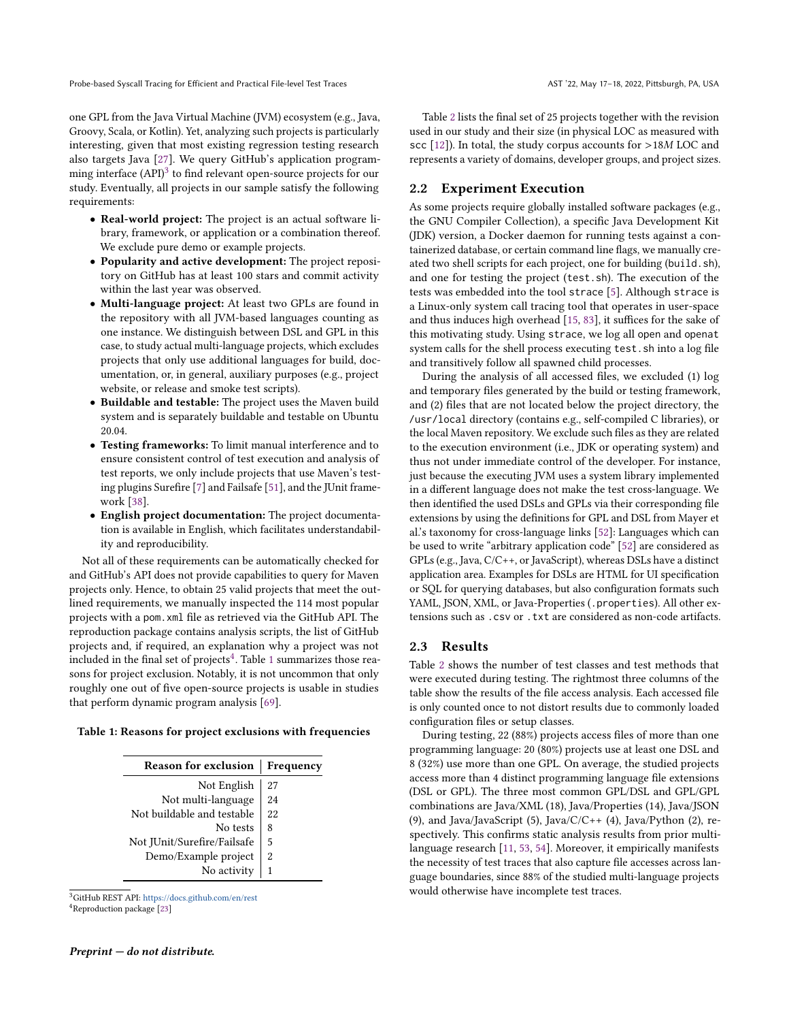one GPL from the Java Virtual Machine (JVM) ecosystem (e.g., Java, Groovy, Scala, or Kotlin). Yet, analyzing such projects is particularly interesting, given that most existing regression testing research also targets Java [\[27\]](#page-10-27). We query GitHub's application programming interface  $\rm{(API)}^3$  $\rm{(API)}^3$  to find relevant open-source projects for our study. Eventually, all projects in our sample satisfy the following requirements:

- Real-world project: The project is an actual software library, framework, or application or a combination thereof. We exclude pure demo or example projects.
- Popularity and active development: The project repository on GitHub has at least 100 stars and commit activity within the last year was observed.
- Multi-language project: At least two GPLs are found in the repository with all JVM-based languages counting as one instance. We distinguish between DSL and GPL in this case, to study actual multi-language projects, which excludes projects that only use additional languages for build, documentation, or, in general, auxiliary purposes (e.g., project website, or release and smoke test scripts).
- Buildable and testable: The project uses the Maven build system and is separately buildable and testable on Ubuntu 20.04.
- Testing frameworks: To limit manual interference and to ensure consistent control of test execution and analysis of test reports, we only include projects that use Maven's testing plugins Surefire [\[7\]](#page-10-28) and Failsafe [\[51\]](#page-11-22), and the JUnit framework [\[38\]](#page-10-29).
- English project documentation: The project documentation is available in English, which facilitates understandability and reproducibility.

Not all of these requirements can be automatically checked for and GitHub's API does not provide capabilities to query for Maven projects only. Hence, to obtain 25 valid projects that meet the outlined requirements, we manually inspected the 114 most popular projects with a pom.xml file as retrieved via the GitHub API. The reproduction package contains analysis scripts, the list of GitHub projects and, if required, an explanation why a project was not included in the final set of projects $\rm ^4.$  $\rm ^4.$  $\rm ^4.$  Table [1](#page-2-2) summarizes those reasons for project exclusion. Notably, it is not uncommon that only roughly one out of five open-source projects is usable in studies that perform dynamic program analysis [\[69\]](#page-11-5).

<span id="page-2-2"></span>Table 1: Reasons for project exclusions with frequencies

| <b>Reason for exclusion</b> | Frequency |  |  |
|-----------------------------|-----------|--|--|
| Not English                 | 27        |  |  |
| Not multi-language          | 24        |  |  |
| Not buildable and testable  | 22        |  |  |
| No tests                    | 8         |  |  |
| Not JUnit/Surefire/Failsafe | 5         |  |  |
| Demo/Example project        | 2         |  |  |
| No activity                 | 1         |  |  |

<span id="page-2-1"></span><span id="page-2-0"></span><sup>3</sup>GitHub REST API: <https://docs.github.com/en/rest> <sup>4</sup>Reproduction package [\[23\]](#page-10-30)

Table [2](#page-3-0) lists the final set of 25 projects together with the revision used in our study and their size (in physical LOC as measured with scc [\[12\]](#page-10-31)). In total, the study corpus accounts for >18<sup>M</sup> LOC and represents a variety of domains, developer groups, and project sizes.

# <span id="page-2-3"></span>2.2 Experiment Execution

As some projects require globally installed software packages (e.g., the GNU Compiler Collection), a specific Java Development Kit (JDK) version, a Docker daemon for running tests against a containerized database, or certain command line flags, we manually created two shell scripts for each project, one for building (build.sh), and one for testing the project (test.sh). The execution of the tests was embedded into the tool strace [\[5\]](#page-10-32). Although strace is a Linux-only system call tracing tool that operates in user-space and thus induces high overhead [\[15,](#page-10-2) [83\]](#page-11-23), it suffices for the sake of this motivating study. Using strace, we log all open and openat system calls for the shell process executing test.sh into a log file and transitively follow all spawned child processes.

During the analysis of all accessed files, we excluded (1) log and temporary files generated by the build or testing framework, and (2) files that are not located below the project directory, the /usr/local directory (contains e.g., self-compiled C libraries), or the local Maven repository. We exclude such files as they are related to the execution environment (i.e., JDK or operating system) and thus not under immediate control of the developer. For instance, just because the executing JVM uses a system library implemented in a different language does not make the test cross-language. We then identified the used DSLs and GPLs via their corresponding file extensions by using the definitions for GPL and DSL from Mayer et al.'s taxonomy for cross-language links [\[52\]](#page-11-24): Languages which can be used to write "arbitrary application code" [\[52\]](#page-11-24) are considered as GPLs (e.g., Java, C/C++, or JavaScript), whereas DSLs have a distinct application area. Examples for DSLs are HTML for UI specification or SQL for querying databases, but also configuration formats such YAML, JSON, XML, or Java-Properties (.properties). All other extensions such as .csv or .txt are considered as non-code artifacts.

# <span id="page-2-4"></span>2.3 Results

Table [2](#page-3-0) shows the number of test classes and test methods that were executed during testing. The rightmost three columns of the table show the results of the file access analysis. Each accessed file is only counted once to not distort results due to commonly loaded configuration files or setup classes.

During testing, 22 (88%) projects access files of more than one programming language: 20 (80%) projects use at least one DSL and 8 (32%) use more than one GPL. On average, the studied projects access more than 4 distinct programming language file extensions (DSL or GPL). The three most common GPL/DSL and GPL/GPL combinations are Java/XML (18), Java/Properties (14), Java/JSON (9), and Java/JavaScript (5), Java/ $C/C++$  (4), Java/Python (2), respectively. This confirms static analysis results from prior multilanguage research [\[11,](#page-10-22) [53,](#page-11-19) [54\]](#page-11-20). Moreover, it empirically manifests the necessity of test traces that also capture file accesses across language boundaries, since 88% of the studied multi-language projects would otherwise have incomplete test traces.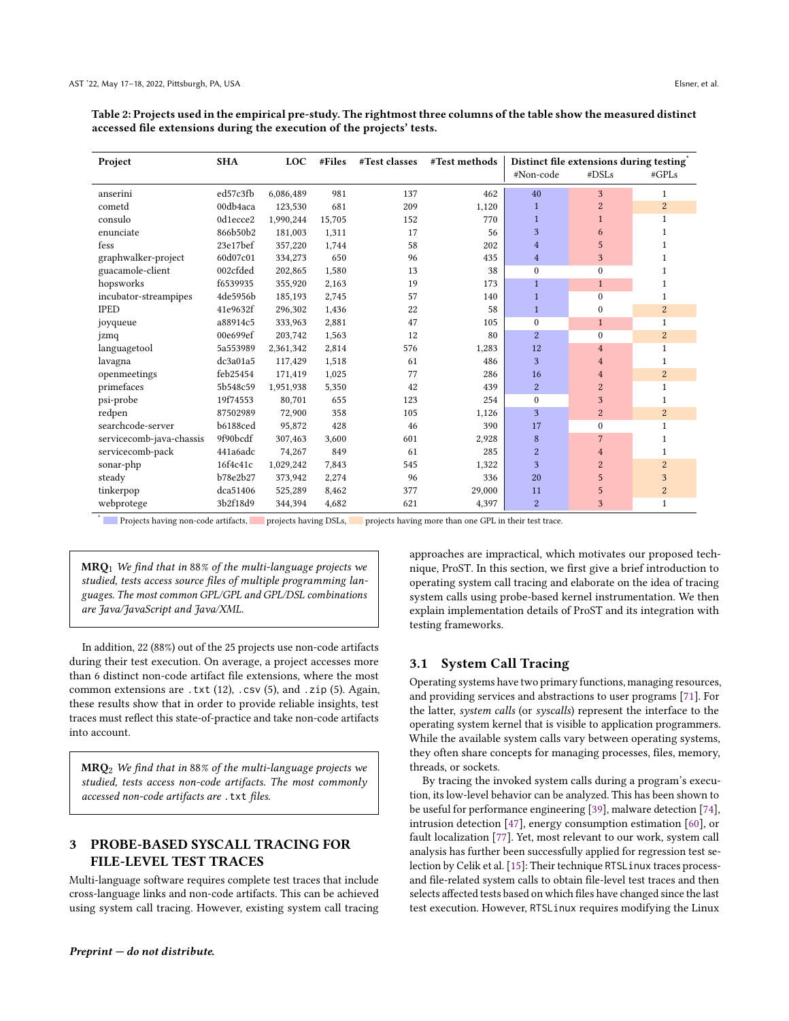<span id="page-3-0"></span>Table 2: Projects used in the empirical pre-study. The rightmost three columns of the table show the measured distinct accessed file extensions during the execution of the projects' tests.

| Project                  | <b>SHA</b>      | <b>LOC</b> | #Files | #Test classes | #Test methods | Distinct file extensions during testing |                |                |
|--------------------------|-----------------|------------|--------|---------------|---------------|-----------------------------------------|----------------|----------------|
|                          |                 |            |        |               |               | #Non-code                               | #DSLs          | #GPLs          |
| anserini                 | ed57c3fb        | 6,086,489  | 981    | 137           | 462           | 40                                      | 3              | 1              |
| cometd                   | 00db4aca        | 123,530    | 681    | 209           | 1,120         | $\mathbf{1}$                            | $\overline{2}$ | $\overline{2}$ |
| consulo                  | 0d1ecce2        | 1,990,244  | 15,705 | 152           | 770           | $\mathbf{1}$                            | $\mathbf{1}$   | 1              |
| enunciate                | 866b50b2        | 181,003    | 1.311  | 17            | 56            | 3                                       | 6              |                |
| fess                     | 23e17bef        | 357,220    | 1.744  | 58            | 202           | $\overline{4}$                          | 5              | 1              |
| graphwalker-project      | 60d07c01        | 334,273    | 650    | 96            | 435           | $\overline{4}$                          | 3              |                |
| guacamole-client         | 002cfded        | 202,865    | 1,580  | 13            | 38            | $\Omega$                                | $\Omega$       |                |
| hopsworks                | f6539935        | 355,920    | 2.163  | 19            | 173           | $\mathbf{1}$                            | $\mathbf{1}$   | 1              |
| incubator-streampipes    | 4de5956b        | 185,193    | 2.745  | 57            | 140           | $\mathbf{1}$                            | $\Omega$       | 1              |
| <b>IPED</b>              | 41e9632f        | 296,302    | 1,436  | 22            | 58            | $\mathbf{1}$                            | $\mathbf{0}$   | $\overline{2}$ |
| joyqueue                 | a88914c5        | 333,963    | 2.881  | 47            | 105           | $\Omega$                                | $\mathbf{1}$   | $\mathbf{1}$   |
| jzmq                     | 00e699ef        | 203.742    | 1,563  | 12            | 80            | $\overline{2}$                          | $\Omega$       | $\overline{2}$ |
| languagetool             | 5a553989        | 2,361,342  | 2.814  | 576           | 1,283         | 12                                      | $\overline{4}$ | 1              |
| lavagna                  | dc3a01a5        | 117,429    | 1,518  | 61            | 486           | 3                                       | $\overline{4}$ | 1              |
| openmeetings             | feb25454        | 171,419    | 1,025  | 77            | 286           | 16                                      | $\overline{4}$ | $\overline{2}$ |
| primefaces               | 5b548c59        | 1,951,938  | 5,350  | 42            | 439           | $\overline{2}$                          | $\overline{2}$ | $\mathbf{1}$   |
| psi-probe                | 19f74553        | 80,701     | 655    | 123           | 254           | $\Omega$                                | 3              | 1              |
| redpen                   | 87502989        | 72,900     | 358    | 105           | 1,126         | 3                                       | $\overline{2}$ | 2              |
| searchcode-server        | <b>b6188ced</b> | 95,872     | 428    | 46            | 390           | 17                                      | $\theta$       | $\mathbf{1}$   |
| servicecomb-java-chassis | 9f90bcdf        | 307,463    | 3.600  | 601           | 2,928         | 8                                       | 7              | -1             |
| servicecomb-pack         | 441a6adc        | 74,267     | 849    | 61            | 285           | $\overline{2}$                          | $\overline{4}$ | 1              |
| sonar-php                | 16f4c41c        | 1,029,242  | 7.843  | 545           | 1,322         | 3                                       | $\overline{2}$ | 2              |
| steady                   | b78e2b27        | 373,942    | 2.274  | 96            | 336           | 20                                      | 5              | 3              |
| tinkerpop                | dca51406        | 525,289    | 8,462  | 377           | 29,000        | 11                                      | 5              | $\overline{c}$ |
| webprotege               | 3b2f18d9        | 344,394    | 4,682  | 621           | 4,397         | 2                                       | 3              | $\mathbf{1}$   |

\* Projects having non-code artifacts, projects having DSLs, projects having more than one GPL in their test trace.

 $MRQ<sub>1</sub>$  We find that in 88% of the multi-language projects we studied, tests access source files of multiple programming languages. The most common GPL/GPL and GPL/DSL combinations are Java/JavaScript and Java/XML.

In addition, 22 (88%) out of the 25 projects use non-code artifacts during their test execution. On average, a project accesses more than 6 distinct non-code artifact file extensions, where the most common extensions are .txt  $(12)$ , .csv  $(5)$ , and .zip  $(5)$ . Again, these results show that in order to provide reliable insights, test traces must reflect this state-of-practice and take non-code artifacts into account.

 $MRQ<sub>2</sub>$  We find that in 88% of the multi-language projects we studied, tests access non-code artifacts. The most commonly accessed non-code artifacts are . txt files.

#### PROBE-BASED SYSCALL TRACING FOR  $\mathbf{a}$ **FILE-LEVEL TEST TRACES**

Multi-language software requires complete test traces that include cross-language links and non-code artifacts. This can be achieved using system call tracing. However, existing system call tracing approaches are impractical, which motivates our proposed technique, ProST. In this section, we first give a brief introduction to operating system call tracing and elaborate on the idea of tracing system calls using probe-based kernel instrumentation. We then explain implementation details of ProST and its integration with testing frameworks.

# 3.1 System Call Tracing

Operating systems have two primary functions, managing resources, and providing services and abstractions to user programs [71]. For the latter, system calls (or syscalls) represent the interface to the operating system kernel that is visible to application programmers. While the available system calls vary between operating systems, they often share concepts for managing processes, files, memory, threads, or sockets.

By tracing the invoked system calls during a program's execution, its low-level behavior can be analyzed. This has been shown to be useful for performance engineering [39], malware detection [74], intrusion detection [47], energy consumption estimation [60], or fault localization [77]. Yet, most relevant to our work, system call analysis has further been successfully applied for regression test selection by Celik et al. [15]: Their technique RTSLinux traces processand file-related system calls to obtain file-level test traces and then selects affected tests based on which files have changed since the last test execution. However, RTSLinux requires modifying the Linux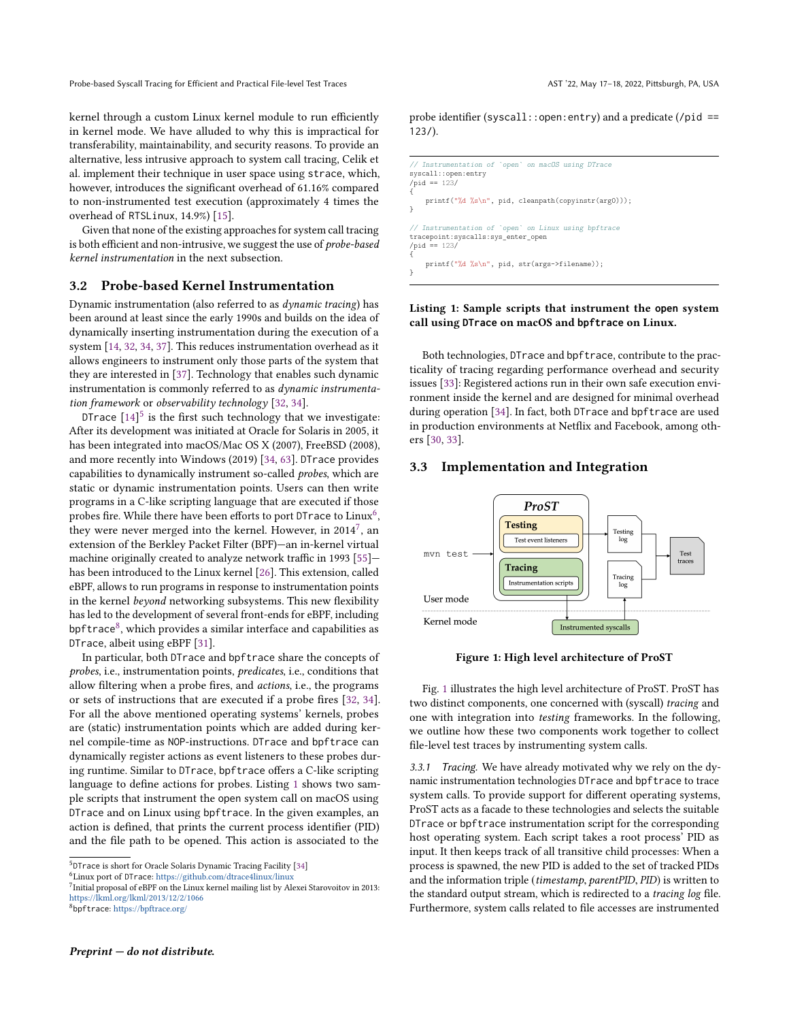kernel through a custom Linux kernel module to run efficiently in kernel mode. We have alluded to why this is impractical for transferability, maintainability, and security reasons. To provide an alternative, less intrusive approach to system call tracing, Celik et al. implement their technique in user space using strace, which, however, introduces the significant overhead of 61.16% compared to non-instrumented test execution (approximately 4 times the overhead of RTSLinux, 14.9%) [\[15\]](#page-10-2).

Given that none of the existing approaches for system call tracing is both efficient and non-intrusive, we suggest the use of probe-based kernel instrumentation in the next subsection.

# 3.2 Probe-based Kernel Instrumentation

Dynamic instrumentation (also referred to as dynamic tracing) has been around at least since the early 1990s and builds on the idea of dynamically inserting instrumentation during the execution of a system [\[14,](#page-10-35) [32,](#page-10-36) [34,](#page-10-37) [37\]](#page-10-38). This reduces instrumentation overhead as it allows engineers to instrument only those parts of the system that they are interested in [\[37\]](#page-10-38). Technology that enables such dynamic instrumentation is commonly referred to as dynamic instrumentation framework or observability technology [\[32,](#page-10-36) [34\]](#page-10-37).

DTrace  $[14]^5$  $[14]^5$  $[14]^5$  is the first such technology that we investigate: After its development was initiated at Oracle for Solaris in 2005, it has been integrated into macOS/Mac OS X (2007), FreeBSD (2008), and more recently into Windows (2019) [\[34,](#page-10-37) [63\]](#page-11-29). DTrace provides capabilities to dynamically instrument so-called probes, which are static or dynamic instrumentation points. Users can then write programs in a C-like scripting language that are executed if those probes fire. While there have been efforts to port <code>DTrace</code> to <code>Linux $^6$  $^6$ ,</code> they were never merged into the kernel. However, in 2014<sup>[7](#page-4-2)</sup>, an extension of the Berkley Packet Filter (BPF)—an in-kernel virtual machine originally created to analyze network traffic in 1993 [\[55\]](#page-11-30) has been introduced to the Linux kernel [\[26\]](#page-10-39). This extension, called eBPF, allows to run programs in response to instrumentation points in the kernel beyond networking subsystems. This new flexibility has led to the development of several front-ends for eBPF, including bpftrace<sup>[8](#page-4-3)</sup>, which provides a similar interface and capabilities as DTrace, albeit using eBPF [\[31\]](#page-10-40).

In particular, both DTrace and bpftrace share the concepts of probes, i.e., instrumentation points, predicates, i.e., conditions that allow filtering when a probe fires, and actions, i.e., the programs or sets of instructions that are executed if a probe fires [\[32,](#page-10-36) [34\]](#page-10-37). For all the above mentioned operating systems' kernels, probes are (static) instrumentation points which are added during kernel compile-time as NOP-instructions. DTrace and bpftrace can dynamically register actions as event listeners to these probes during runtime. Similar to DTrace, bpftrace offers a C-like scripting language to define actions for probes. Listing [1](#page-4-4) shows two sample scripts that instrument the open system call on macOS using DTrace and on Linux using bpftrace. In the given examples, an action is defined, that prints the current process identifier (PID) and the file path to be opened. This action is associated to the

probe identifier (syscall:: open: entry) and a predicate (/pid == 123/).

```
// Instrumentation of `open` on macOS using DTrace
syscall::open:entry
\gammapid == 123/
{
    printf("%d %s\n", pid, cleanpath(copyinstr(arg0)));
}
// Instrumentation of `open` on Linux using bpftrace
tracepoint:syscalls:sys_enter_open
\gammapid == 123/
{
    printf("%d %s\n", pid, str(args->filename));
}
```
#### Listing 1: Sample scripts that instrument the **open** system call using **DTrace** on macOS and **bpftrace** on Linux.

Both technologies, DTrace and bpftrace, contribute to the practicality of tracing regarding performance overhead and security issues [\[33\]](#page-10-24): Registered actions run in their own safe execution environment inside the kernel and are designed for minimal overhead during operation [\[34\]](#page-10-37). In fact, both DTrace and bpftrace are used in production environments at Netflix and Facebook, among others [\[30,](#page-10-23) [33\]](#page-10-24).

# 3.3 Implementation and Integration

<span id="page-4-5"></span>

Figure 1: High level architecture of ProST

Fig. [1](#page-4-5) illustrates the high level architecture of ProST. ProST has two distinct components, one concerned with (syscall) tracing and one with integration into testing frameworks. In the following, we outline how these two components work together to collect file-level test traces by instrumenting system calls.

3.3.1 Tracing. We have already motivated why we rely on the dynamic instrumentation technologies DTrace and bpftrace to trace system calls. To provide support for different operating systems, ProST acts as a facade to these technologies and selects the suitable DTrace or bpftrace instrumentation script for the corresponding host operating system. Each script takes a root process' PID as input. It then keeps track of all transitive child processes: When a process is spawned, the new PID is added to the set of tracked PIDs and the information triple (timestamp, parentPID, PID) is written to the standard output stream, which is redirected to a tracing log file. Furthermore, system calls related to file accesses are instrumented

<span id="page-4-0"></span><sup>5</sup> DTrace is short for Oracle Solaris Dynamic Tracing Facility [\[34\]](#page-10-37)

<span id="page-4-1"></span><sup>6</sup>Linux port of DTrace: <https://github.com/dtrace4linux/linux>

<span id="page-4-3"></span><span id="page-4-2"></span><sup>&</sup>lt;sup>7</sup> Initial proposal of eBPF on the Linux kernel mailing list by Alexei Starovoitov in 2013: <https://lkml.org/lkml/2013/12/2/1066> 8 bpftrace: <https://bpftrace.org/>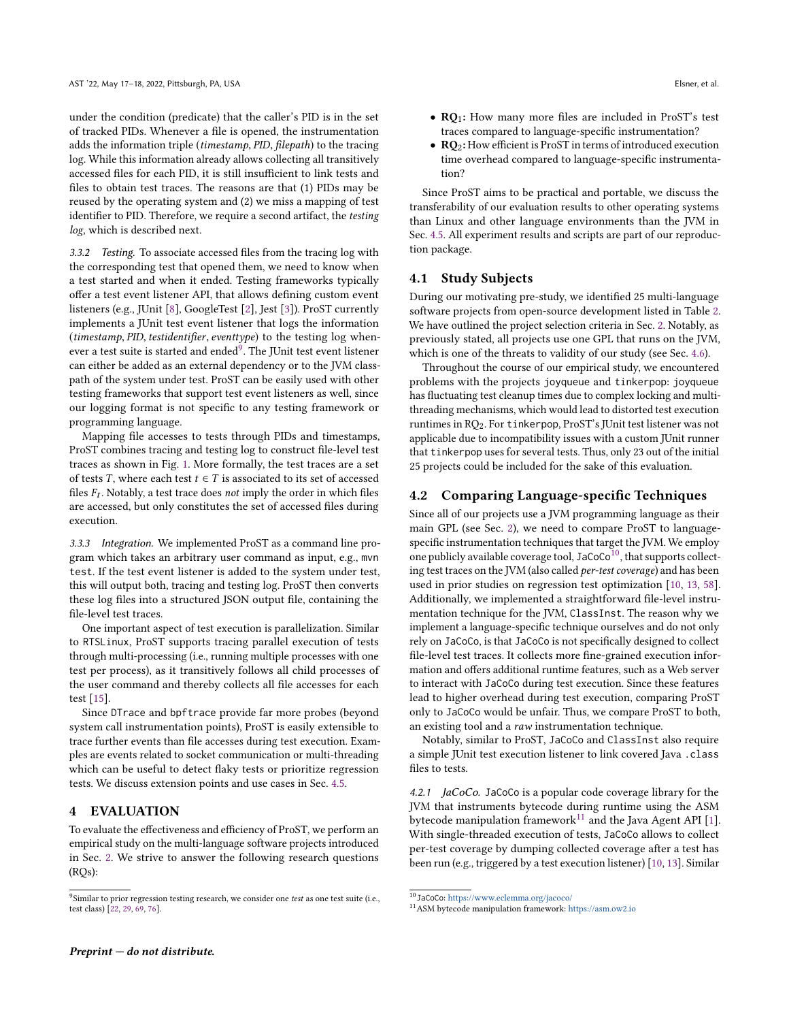under the condition (predicate) that the caller's PID is in the set of tracked PIDs. Whenever a file is opened, the instrumentation adds the information triple (timestamp, PID, filepath) to the tracing log. While this information already allows collecting all transitively accessed files for each PID, it is still insufficient to link tests and files to obtain test traces. The reasons are that (1) PIDs may be reused by the operating system and (2) we miss a mapping of test identifier to PID. Therefore, we require a second artifact, the testing log, which is described next.

3.3.2 Testing. To associate accessed files from the tracing log with the corresponding test that opened them, we need to know when a test started and when it ended. Testing frameworks typically offer a test event listener API, that allows defining custom event listeners (e.g., JUnit [\[8\]](#page-10-41), GoogleTest [\[2\]](#page-10-42), Jest [\[3\]](#page-10-43)). ProST currently implements a JUnit test event listener that logs the information (timestamp, PID, testidentifier, eventtype) to the testing log whenever a test suite is started and ended $^9$  $^9$ . The JUnit test event listener can either be added as an external dependency or to the JVM classpath of the system under test. ProST can be easily used with other testing frameworks that support test event listeners as well, since our logging format is not specific to any testing framework or programming language.

Mapping file accesses to tests through PIDs and timestamps, ProST combines tracing and testing log to construct file-level test traces as shown in Fig. [1.](#page-4-5) More formally, the test traces are a set of tests T, where each test  $t \in T$  is associated to its set of accessed files  $F_t$ . Notably, a test trace does not imply the order in which files are accessed, but only constitutes the set of accessed files during execution.

3.3.3 Integration. We implemented ProST as a command line program which takes an arbitrary user command as input, e.g., mvn test. If the test event listener is added to the system under test, this will output both, tracing and testing log. ProST then converts these log files into a structured JSON output file, containing the file-level test traces.

One important aspect of test execution is parallelization. Similar to RTSLinux, ProST supports tracing parallel execution of tests through multi-processing (i.e., running multiple processes with one test per process), as it transitively follows all child processes of the user command and thereby collects all file accesses for each test [\[15\]](#page-10-2).

Since DTrace and bpftrace provide far more probes (beyond system call instrumentation points), ProST is easily extensible to trace further events than file accesses during test execution. Examples are events related to socket communication or multi-threading which can be useful to detect flaky tests or prioritize regression tests. We discuss extension points and use cases in Sec. [4.5.](#page-6-0)

#### 4 EVALUATION

To evaluate the effectiveness and efficiency of ProST, we perform an empirical study on the multi-language software projects introduced in Sec. [2.](#page-1-1) We strive to answer the following research questions (RQs):

- RQ1: How many more files are included in ProST's test traces compared to language-specific instrumentation?
- $\mathbb{R}Q_2$ : How efficient is ProST in terms of introduced execution time overhead compared to language-specific instrumentation?

Since ProST aims to be practical and portable, we discuss the transferability of our evaluation results to other operating systems than Linux and other language environments than the JVM in Sec. [4.5.](#page-6-0) All experiment results and scripts are part of our reproduction package.

#### <span id="page-5-4"></span>4.1 Study Subjects

During our motivating pre-study, we identified 25 multi-language software projects from open-source development listed in Table [2.](#page-3-0) We have outlined the project selection criteria in Sec. [2.](#page-1-1) Notably, as previously stated, all projects use one GPL that runs on the JVM, which is one of the threats to validity of our study (see Sec. [4.6\)](#page-8-0).

Throughout the course of our empirical study, we encountered problems with the projects joyqueue and tinkerpop: joyqueue has fluctuating test cleanup times due to complex locking and multithreading mechanisms, which would lead to distorted test execution runtimes in RQ2. For tinkerpop, ProST's JUnit test listener was not applicable due to incompatibility issues with a custom JUnit runner that tinkerpop uses for several tests. Thus, only 23 out of the initial 25 projects could be included for the sake of this evaluation.

# 4.2 Comparing Language-specific Techniques

Since all of our projects use a JVM programming language as their main GPL (see Sec. [2\)](#page-1-1), we need to compare ProST to languagespecific instrumentation techniques that target the JVM. We employ one publicly available coverage tool,  $\texttt{JacCoCo}^{10},$  $\texttt{JacCoCo}^{10},$  $\texttt{JacCoCo}^{10},$  that supports collecting test traces on the JVM (also called per-test coverage) and has been used in prior studies on regression test optimization [\[10,](#page-10-15) [13,](#page-10-7) [58\]](#page-11-32). Additionally, we implemented a straightforward file-level instrumentation technique for the JVM, ClassInst. The reason why we implement a language-specific technique ourselves and do not only rely on JaCoCo, is that JaCoCo is not specifically designed to collect file-level test traces. It collects more fine-grained execution information and offers additional runtime features, such as a Web server to interact with JaCoCo during test execution. Since these features lead to higher overhead during test execution, comparing ProST only to JaCoCo would be unfair. Thus, we compare ProST to both, an existing tool and a raw instrumentation technique.

Notably, similar to ProST, JaCoCo and ClassInst also require a simple JUnit test execution listener to link covered Java .class files to tests.

<span id="page-5-3"></span>4.2.1 *JaCoCo*. JaCoCo is a popular code coverage library for the JVM that instruments bytecode during runtime using the ASM bytecode manipulation framework<sup>[11](#page-5-2)</sup> and the Java Agent API [\[1\]](#page-10-44). With single-threaded execution of tests, JaCoCo allows to collect per-test coverage by dumping collected coverage after a test has been run (e.g., triggered by a test execution listener) [\[10,](#page-10-15) [13\]](#page-10-7). Similar

<span id="page-5-0"></span><sup>&</sup>lt;sup>9</sup>Similar to prior regression testing research, we consider one test as one test suite (i.e., test class) [\[22,](#page-10-4) [29,](#page-10-20) [69,](#page-11-5) [76\]](#page-11-31).

<span id="page-5-1"></span> $^{10}\texttt{Jac}\texttt{OC}$  : <https://www.eclemma.org/jacoco/>

<span id="page-5-2"></span><sup>11</sup>ASM bytecode manipulation framework: <https://asm.ow2.io>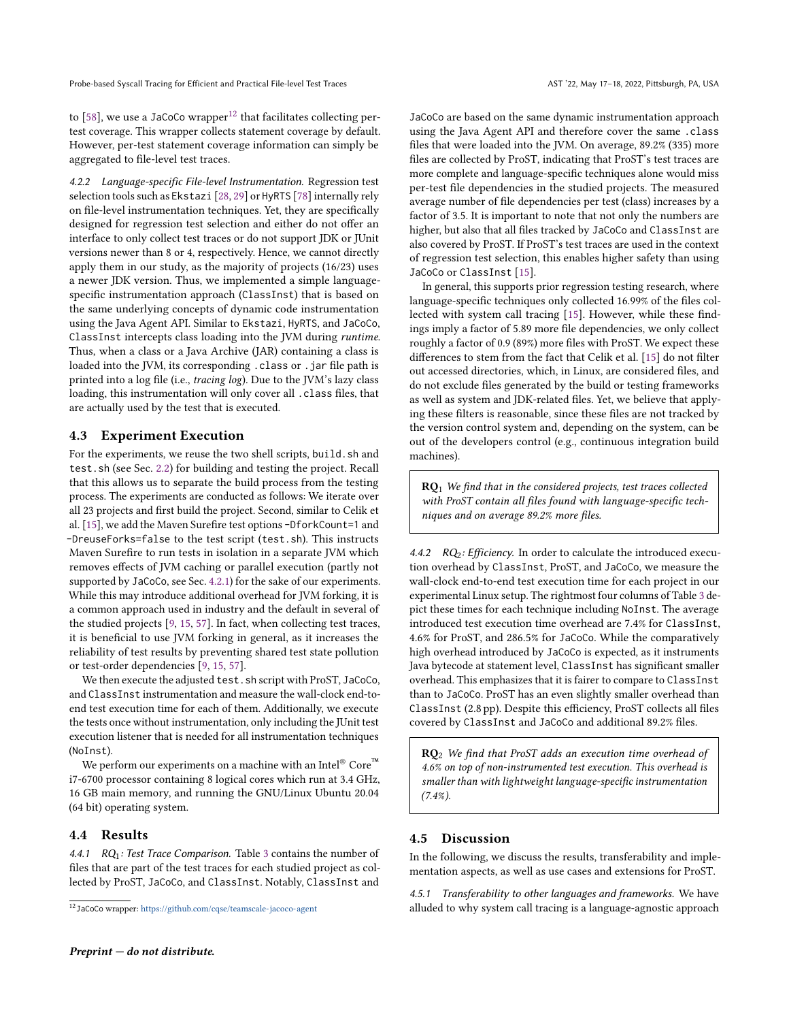to [\[58\]](#page-11-32), we use a JaCoCo wrapper $12$  that facilitates collecting pertest coverage. This wrapper collects statement coverage by default. However, per-test statement coverage information can simply be aggregated to file-level test traces.

4.2.2 Language-specific File-level Instrumentation. Regression test selection tools such as Ekstazi [\[28,](#page-10-5) [29\]](#page-10-20) or HyRTS [\[78\]](#page-11-7) internally rely on file-level instrumentation techniques. Yet, they are specifically designed for regression test selection and either do not offer an interface to only collect test traces or do not support JDK or JUnit versions newer than 8 or 4, respectively. Hence, we cannot directly apply them in our study, as the majority of projects (16/23) uses a newer JDK version. Thus, we implemented a simple languagespecific instrumentation approach (ClassInst) that is based on the same underlying concepts of dynamic code instrumentation using the Java Agent API. Similar to Ekstazi, HyRTS, and JaCoCo, ClassInst intercepts class loading into the JVM during runtime. Thus, when a class or a Java Archive (JAR) containing a class is loaded into the JVM, its corresponding . class or . jar file path is printed into a log file (i.e., tracing log). Due to the JVM's lazy class loading, this instrumentation will only cover all .class files, that are actually used by the test that is executed.

# 4.3 Experiment Execution

For the experiments, we reuse the two shell scripts, build. sh and test.sh (see Sec. [2.2\)](#page-2-3) for building and testing the project. Recall that this allows us to separate the build process from the testing process. The experiments are conducted as follows: We iterate over all 23 projects and first build the project. Second, similar to Celik et al. [\[15\]](#page-10-2), we add the Maven Surefire test options -DforkCount=1 and -DreuseForks=false to the test script (test.sh). This instructs Maven Surefire to run tests in isolation in a separate JVM which removes effects of JVM caching or parallel execution (partly not supported by JaCoCo, see Sec. [4.2.1\)](#page-5-3) for the sake of our experiments. While this may introduce additional overhead for JVM forking, it is a common approach used in industry and the default in several of the studied projects [\[9,](#page-10-45) [15,](#page-10-2) [57\]](#page-11-33). In fact, when collecting test traces, it is beneficial to use JVM forking in general, as it increases the reliability of test results by preventing shared test state pollution or test-order dependencies [\[9,](#page-10-45) [15,](#page-10-2) [57\]](#page-11-33).

We then execute the adjusted test. sh script with ProST, JaCoCo, and ClassInst instrumentation and measure the wall-clock end-toend test execution time for each of them. Additionally, we execute the tests once without instrumentation, only including the JUnit test execution listener that is needed for all instrumentation techniques (NoInst).

We perform our experiments on a machine with an Intel® Core<sup>™</sup> i7-6700 processor containing 8 logical cores which run at 3.4 GHz, 16 GB main memory, and running the GNU/Linux Ubuntu 20.04 (64 bit) operating system.

# 4.4 Results

4.4.1  $RQ_1$ : Test Trace Comparison. Table [3](#page-7-0) contains the number of files that are part of the test traces for each studied project as collected by ProST, JaCoCo, and ClassInst. Notably, ClassInst and

JaCoCo are based on the same dynamic instrumentation approach using the Java Agent API and therefore cover the same .class files that were loaded into the JVM. On average, 89.2% (335) more files are collected by ProST, indicating that ProST's test traces are more complete and language-specific techniques alone would miss per-test file dependencies in the studied projects. The measured average number of file dependencies per test (class) increases by a factor of 3.5. It is important to note that not only the numbers are higher, but also that all files tracked by JaCoCo and ClassInst are also covered by ProST. If ProST's test traces are used in the context of regression test selection, this enables higher safety than using JaCoCo or ClassInst [\[15\]](#page-10-2).

In general, this supports prior regression testing research, where language-specific techniques only collected 16.99% of the files collected with system call tracing [\[15\]](#page-10-2). However, while these findings imply a factor of 5.89 more file dependencies, we only collect roughly a factor of 0.9 (89%) more files with ProST. We expect these differences to stem from the fact that Celik et al. [\[15\]](#page-10-2) do not filter out accessed directories, which, in Linux, are considered files, and do not exclude files generated by the build or testing frameworks as well as system and JDK-related files. Yet, we believe that applying these filters is reasonable, since these files are not tracked by the version control system and, depending on the system, can be out of the developers control (e.g., continuous integration build machines).

 $RO<sub>1</sub>$  We find that in the considered projects, test traces collected with ProST contain all files found with language-specific techniques and on average 89.2% more files.

4.4.2  $RQ_2$ : Efficiency. In order to calculate the introduced execution overhead by ClassInst, ProST, and JaCoCo, we measure the wall-clock end-to-end test execution time for each project in our experimental Linux setup. The rightmost four columns of Table [3](#page-7-0) depict these times for each technique including NoInst. The average introduced test execution time overhead are 7.4% for ClassInst, 4.6% for ProST, and 286.5% for JaCoCo. While the comparatively high overhead introduced by JaCoCo is expected, as it instruments Java bytecode at statement level, ClassInst has significant smaller overhead. This emphasizes that it is fairer to compare to ClassInst than to JaCoCo. ProST has an even slightly smaller overhead than ClassInst (2.8 pp). Despite this efficiency, ProST collects all files covered by ClassInst and JaCoCo and additional 89.2% files.

RQ<sub>2</sub> We find that ProST adds an execution time overhead of 4.6% on top of non-instrumented test execution. This overhead is smaller than with lightweight language-specific instrumentation (7.4%).

#### <span id="page-6-0"></span>4.5 Discussion

In the following, we discuss the results, transferability and implementation aspects, as well as use cases and extensions for ProST.

4.5.1 Transferability to other languages and frameworks. We have alluded to why system call tracing is a language-agnostic approach

<span id="page-6-1"></span><sup>12</sup>JaCoCo wrapper: <https://github.com/cqse/teamscale-jacoco-agent>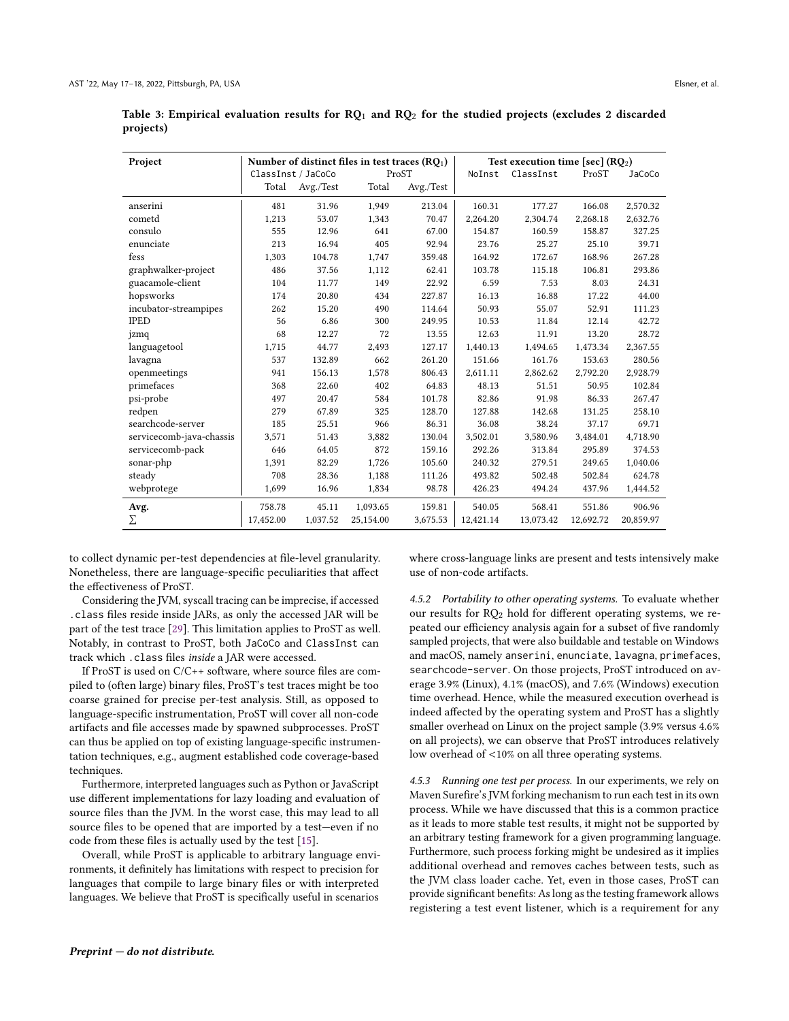| Project                  |                    |           | Number of distinct files in test traces $(RQ_1)$ |                  | Test execution time [sec] $(RQ_2)$ |           |           |           |
|--------------------------|--------------------|-----------|--------------------------------------------------|------------------|------------------------------------|-----------|-----------|-----------|
|                          | ClassInst / JaCoCo |           | ProST                                            |                  | NoInst                             | ClassInst | ProST     | JaCoCo    |
|                          | Total              | Avg./Test | Total                                            | $\rm{Avg.}/Test$ |                                    |           |           |           |
| anserini                 | 481                | 31.96     | 1,949                                            | 213.04           | 160.31                             | 177.27    | 166.08    | 2,570.32  |
| cometd                   | 1,213              | 53.07     | 1,343                                            | 70.47            | 2,264.20                           | 2,304.74  | 2,268.18  | 2,632.76  |
| consulo                  | 555                | 12.96     | 641                                              | 67.00            | 154.87                             | 160.59    | 158.87    | 327.25    |
| enunciate                | 213                | 16.94     | 405                                              | 92.94            | 23.76                              | 25.27     | 25.10     | 39.71     |
| fess                     | 1,303              | 104.78    | 1,747                                            | 359.48           | 164.92                             | 172.67    | 168.96    | 267.28    |
| graphwalker-project      | 486                | 37.56     | 1,112                                            | 62.41            | 103.78                             | 115.18    | 106.81    | 293.86    |
| guacamole-client         | 104                | 11.77     | 149                                              | 22.92            | 6.59                               | 7.53      | 8.03      | 24.31     |
| hopsworks                | 174                | 20.80     | 434                                              | 227.87           | 16.13                              | 16.88     | 17.22     | 44.00     |
| incubator-streampipes    | 262                | 15.20     | 490                                              | 114.64           | 50.93                              | 55.07     | 52.91     | 111.23    |
| <b>IPED</b>              | 56                 | 6.86      | 300                                              | 249.95           | 10.53                              | 11.84     | 12.14     | 42.72     |
| jzmq                     | 68                 | 12.27     | 72                                               | 13.55            | 12.63                              | 11.91     | 13.20     | 28.72     |
| languagetool             | 1,715              | 44.77     | 2,493                                            | 127.17           | 1,440.13                           | 1,494.65  | 1,473.34  | 2,367.55  |
| lavagna                  | 537                | 132.89    | 662                                              | 261.20           | 151.66                             | 161.76    | 153.63    | 280.56    |
| openmeetings             | 941                | 156.13    | 1,578                                            | 806.43           | 2,611.11                           | 2,862.62  | 2,792.20  | 2,928.79  |
| primefaces               | 368                | 22.60     | 402                                              | 64.83            | 48.13                              | 51.51     | 50.95     | 102.84    |
| psi-probe                | 497                | 20.47     | 584                                              | 101.78           | 82.86                              | 91.98     | 86.33     | 267.47    |
| redpen                   | 279                | 67.89     | 325                                              | 128.70           | 127.88                             | 142.68    | 131.25    | 258.10    |
| searchcode-server        | 185                | 25.51     | 966                                              | 86.31            | 36.08                              | 38.24     | 37.17     | 69.71     |
| servicecomb-java-chassis | 3,571              | 51.43     | 3,882                                            | 130.04           | 3,502.01                           | 3,580.96  | 3,484.01  | 4,718.90  |
| servicecomb-pack         | 646                | 64.05     | 872                                              | 159.16           | 292.26                             | 313.84    | 295.89    | 374.53    |
| sonar-php                | 1,391              | 82.29     | 1,726                                            | 105.60           | 240.32                             | 279.51    | 249.65    | 1,040.06  |
| steady                   | 708                | 28.36     | 1,188                                            | 111.26           | 493.82                             | 502.48    | 502.84    | 624.78    |
| webprotege               | 1,699              | 16.96     | 1,834                                            | 98.78            | 426.23                             | 494.24    | 437.96    | 1,444.52  |
| Avg.                     | 758.78             | 45.11     | 1,093.65                                         | 159.81           | 540.05                             | 568.41    | 551.86    | 906.96    |
| Σ                        | 17,452.00          | 1,037.52  | 25,154.00                                        | 3,675.53         | 12,421.14                          | 13,073.42 | 12,692.72 | 20,859.97 |

<span id="page-7-0"></span>Table 3: Empirical evaluation results for  $RQ_1$  and  $RQ_2$  for the studied projects (excludes 2 discarded projects)

to collect dynamic per-test dependencies at file-level granularity. Nonetheless, there are language-specific peculiarities that affect the effectiveness of ProST.

Considering the JVM, syscall tracing can be imprecise, if accessed .class files reside inside JARs, as only the accessed JAR will be part of the test trace [29]. This limitation applies to ProST as well. Notably, in contrast to ProST, both JaCoCo and ClassInst can track which . class files inside a JAR were accessed.

If ProST is used on C/C++ software, where source files are compiled to (often large) binary files, ProST's test traces might be too coarse grained for precise per-test analysis. Still, as opposed to language-specific instrumentation, ProST will cover all non-code artifacts and file accesses made by spawned subprocesses. ProST can thus be applied on top of existing language-specific instrumentation techniques, e.g., augment established code coverage-based techniques.

Furthermore, interpreted languages such as Python or JavaScript use different implementations for lazy loading and evaluation of source files than the JVM. In the worst case, this may lead to all source files to be opened that are imported by a test-even if no code from these files is actually used by the test [15].

Overall, while ProST is applicable to arbitrary language environments, it definitely has limitations with respect to precision for languages that compile to large binary files or with interpreted languages. We believe that ProST is specifically useful in scenarios

 $Preprint - do$  not distribute.

where cross-language links are present and tests intensively make use of non-code artifacts.

4.5.2 Portability to other operating systems. To evaluate whether our results for  $RQ_2$  hold for different operating systems, we repeated our efficiency analysis again for a subset of five randomly sampled projects, that were also buildable and testable on Windows and macOS, namely anserini, enunciate, lavagna, primefaces, searchcode-server. On those projects, ProST introduced on average 3.9% (Linux), 4.1% (macOS), and 7.6% (Windows) execution time overhead. Hence, while the measured execution overhead is indeed affected by the operating system and ProST has a slightly smaller overhead on Linux on the project sample (3.9% versus 4.6% on all projects), we can observe that ProST introduces relatively low overhead of <10% on all three operating systems.

4.5.3 Running one test per process. In our experiments, we rely on Maven Surefire's JVM forking mechanism to run each test in its own process. While we have discussed that this is a common practice as it leads to more stable test results, it might not be supported by an arbitrary testing framework for a given programming language. Furthermore, such process forking might be undesired as it implies additional overhead and removes caches between tests, such as the JVM class loader cache. Yet, even in those cases, ProST can provide significant benefits: As long as the testing framework allows registering a test event listener, which is a requirement for any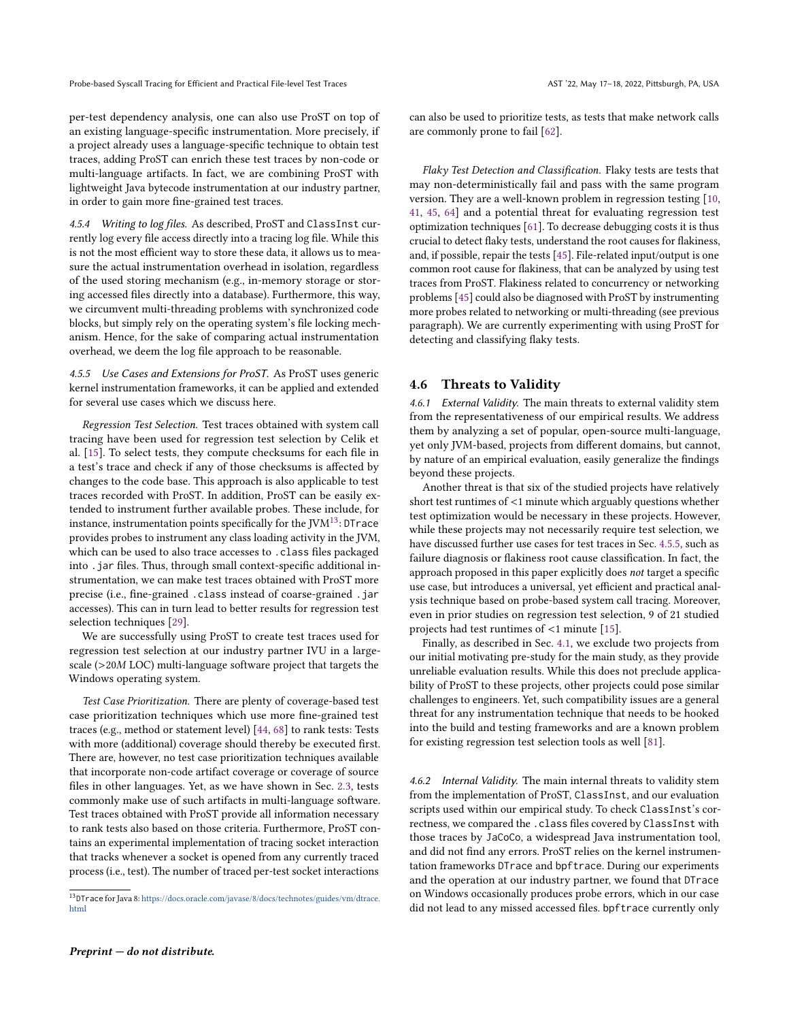per-test dependency analysis, one can also use ProST on top of an existing language-specific instrumentation. More precisely, if a project already uses a language-specific technique to obtain test traces, adding ProST can enrich these test traces by non-code or multi-language artifacts. In fact, we are combining ProST with lightweight Java bytecode instrumentation at our industry partner, in order to gain more fine-grained test traces.

4.5.4 Writing to log files. As described, ProST and ClassInst currently log every file access directly into a tracing log file. While this is not the most efficient way to store these data, it allows us to measure the actual instrumentation overhead in isolation, regardless of the used storing mechanism (e.g., in-memory storage or storing accessed files directly into a database). Furthermore, this way, we circumvent multi-threading problems with synchronized code blocks, but simply rely on the operating system's file locking mechanism. Hence, for the sake of comparing actual instrumentation overhead, we deem the log file approach to be reasonable.

<span id="page-8-2"></span>4.5.5 Use Cases and Extensions for ProST. As ProST uses generic kernel instrumentation frameworks, it can be applied and extended for several use cases which we discuss here.

Regression Test Selection. Test traces obtained with system call tracing have been used for regression test selection by Celik et al. [\[15\]](#page-10-2). To select tests, they compute checksums for each file in a test's trace and check if any of those checksums is affected by changes to the code base. This approach is also applicable to test traces recorded with ProST. In addition, ProST can be easily extended to instrument further available probes. These include, for instance, instrumentation points specifically for the  $JVM^{13}$  $JVM^{13}$  $JVM^{13}$ : DTrace provides probes to instrument any class loading activity in the JVM, which can be used to also trace accesses to .class files packaged into . jar files. Thus, through small context-specific additional instrumentation, we can make test traces obtained with ProST more precise (i.e., fine-grained .class instead of coarse-grained .jar accesses). This can in turn lead to better results for regression test selection techniques [\[29\]](#page-10-20).

We are successfully using ProST to create test traces used for regression test selection at our industry partner IVU in a largescale (>20<sup>M</sup> LOC) multi-language software project that targets the Windows operating system.

Test Case Prioritization. There are plenty of coverage-based test case prioritization techniques which use more fine-grained test traces (e.g., method or statement level) [\[44,](#page-10-46) [68\]](#page-11-9) to rank tests: Tests with more (additional) coverage should thereby be executed first. There are, however, no test case prioritization techniques available that incorporate non-code artifact coverage or coverage of source files in other languages. Yet, as we have shown in Sec. [2.3,](#page-2-4) tests commonly make use of such artifacts in multi-language software. Test traces obtained with ProST provide all information necessary to rank tests also based on those criteria. Furthermore, ProST contains an experimental implementation of tracing socket interaction that tracks whenever a socket is opened from any currently traced process (i.e., test). The number of traced per-test socket interactions

can also be used to prioritize tests, as tests that make network calls are commonly prone to fail [\[62\]](#page-11-17).

Flaky Test Detection and Classification. Flaky tests are tests that may non-deterministically fail and pass with the same program version. They are a well-known problem in regression testing [\[10,](#page-10-15) [41,](#page-10-16) [45,](#page-10-17) [64\]](#page-11-13) and a potential threat for evaluating regression test optimization techniques [\[61\]](#page-11-8). To decrease debugging costs it is thus crucial to detect flaky tests, understand the root causes for flakiness, and, if possible, repair the tests [\[45\]](#page-10-17). File-related input/output is one common root cause for flakiness, that can be analyzed by using test traces from ProST. Flakiness related to concurrency or networking problems [\[45\]](#page-10-17) could also be diagnosed with ProST by instrumenting more probes related to networking or multi-threading (see previous paragraph). We are currently experimenting with using ProST for detecting and classifying flaky tests.

#### <span id="page-8-0"></span>4.6 Threats to Validity

4.6.1 External Validity. The main threats to external validity stem from the representativeness of our empirical results. We address them by analyzing a set of popular, open-source multi-language, yet only JVM-based, projects from different domains, but cannot, by nature of an empirical evaluation, easily generalize the findings beyond these projects.

Another threat is that six of the studied projects have relatively short test runtimes of <1 minute which arguably questions whether test optimization would be necessary in these projects. However, while these projects may not necessarily require test selection, we have discussed further use cases for test traces in Sec. [4.5.5,](#page-8-2) such as failure diagnosis or flakiness root cause classification. In fact, the approach proposed in this paper explicitly does not target a specific use case, but introduces a universal, yet efficient and practical analysis technique based on probe-based system call tracing. Moreover, even in prior studies on regression test selection, 9 of 21 studied projects had test runtimes of <1 minute [\[15\]](#page-10-2).

Finally, as described in Sec. [4.1,](#page-5-4) we exclude two projects from our initial motivating pre-study for the main study, as they provide unreliable evaluation results. While this does not preclude applicability of ProST to these projects, other projects could pose similar challenges to engineers. Yet, such compatibility issues are a general threat for any instrumentation technique that needs to be hooked into the build and testing frameworks and are a known problem for existing regression test selection tools as well [\[81\]](#page-11-21).

4.6.2 Internal Validity. The main internal threats to validity stem from the implementation of ProST, ClassInst, and our evaluation scripts used within our empirical study. To check ClassInst's correctness, we compared the .class files covered by ClassInst with those traces by JaCoCo, a widespread Java instrumentation tool, and did not find any errors. ProST relies on the kernel instrumentation frameworks DTrace and bpftrace. During our experiments and the operation at our industry partner, we found that DTrace on Windows occasionally produces probe errors, which in our case did not lead to any missed accessed files. bpftrace currently only

<span id="page-8-1"></span> $^{13}$  DTrace for Java 8: [https://docs.oracle.com/javase/8/docs/technotes/guides/vm/dtrace.](https://docs.oracle.com/javase/8/docs/technotes/guides/vm/dtrace.html) [html](https://docs.oracle.com/javase/8/docs/technotes/guides/vm/dtrace.html)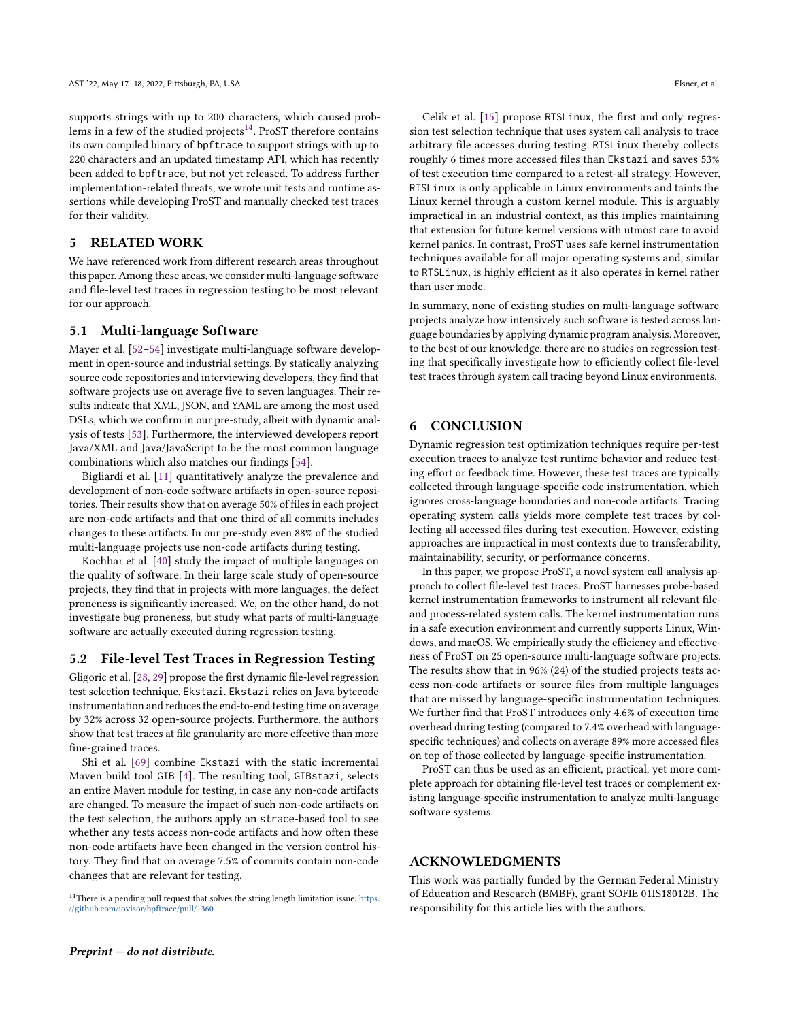supports strings with up to 200 characters, which caused prob-lems in a few of the studied projects<sup>[14](#page-9-0)</sup>. ProST therefore contains its own compiled binary of bpftrace to support strings with up to 220 characters and an updated timestamp API, which has recently been added to bpftrace, but not yet released. To address further implementation-related threats, we wrote unit tests and runtime assertions while developing ProST and manually checked test traces for their validity.

# 5 RELATED WORK

We have referenced work from different research areas throughout this paper. Among these areas, we consider multi-language software and file-level test traces in regression testing to be most relevant for our approach.

#### 5.1 Multi-language Software

Mayer et al. [\[52–](#page-11-24)[54\]](#page-11-20) investigate multi-language software development in open-source and industrial settings. By statically analyzing source code repositories and interviewing developers, they find that software projects use on average five to seven languages. Their results indicate that XML, JSON, and YAML are among the most used DSLs, which we confirm in our pre-study, albeit with dynamic analysis of tests [\[53\]](#page-11-19). Furthermore, the interviewed developers report Java/XML and Java/JavaScript to be the most common language combinations which also matches our findings [\[54\]](#page-11-20).

Bigliardi et al. [\[11\]](#page-10-22) quantitatively analyze the prevalence and development of non-code software artifacts in open-source repositories. Their results show that on average 50% of files in each project are non-code artifacts and that one third of all commits includes changes to these artifacts. In our pre-study even 88% of the studied multi-language projects use non-code artifacts during testing.

Kochhar et al. [\[40\]](#page-10-47) study the impact of multiple languages on the quality of software. In their large scale study of open-source projects, they find that in projects with more languages, the defect proneness is significantly increased. We, on the other hand, do not investigate bug proneness, but study what parts of multi-language software are actually executed during regression testing.

# 5.2 File-level Test Traces in Regression Testing

Gligoric et al. [\[28,](#page-10-5) [29\]](#page-10-20) propose the first dynamic file-level regression test selection technique, Ekstazi. Ekstazi relies on Java bytecode instrumentation and reduces the end-to-end testing time on average by 32% across 32 open-source projects. Furthermore, the authors show that test traces at file granularity are more effective than more fine-grained traces.

Shi et al. [\[69\]](#page-11-5) combine Ekstazi with the static incremental Maven build tool GIB [\[4\]](#page-10-48). The resulting tool, GIBstazi, selects an entire Maven module for testing, in case any non-code artifacts are changed. To measure the impact of such non-code artifacts on the test selection, the authors apply an strace-based tool to see whether any tests access non-code artifacts and how often these non-code artifacts have been changed in the version control history. They find that on average 7.5% of commits contain non-code changes that are relevant for testing.

Celik et al. [\[15\]](#page-10-2) propose RTSLinux, the first and only regression test selection technique that uses system call analysis to trace arbitrary file accesses during testing. RTSLinux thereby collects roughly 6 times more accessed files than Ekstazi and saves 53% of test execution time compared to a retest-all strategy. However, RTSLinux is only applicable in Linux environments and taints the Linux kernel through a custom kernel module. This is arguably impractical in an industrial context, as this implies maintaining that extension for future kernel versions with utmost care to avoid kernel panics. In contrast, ProST uses safe kernel instrumentation techniques available for all major operating systems and, similar to RTSLinux, is highly efficient as it also operates in kernel rather than user mode.

In summary, none of existing studies on multi-language software projects analyze how intensively such software is tested across language boundaries by applying dynamic program analysis. Moreover, to the best of our knowledge, there are no studies on regression testing that specifically investigate how to efficiently collect file-level test traces through system call tracing beyond Linux environments.

# 6 CONCLUSION

Dynamic regression test optimization techniques require per-test execution traces to analyze test runtime behavior and reduce testing effort or feedback time. However, these test traces are typically collected through language-specific code instrumentation, which ignores cross-language boundaries and non-code artifacts. Tracing operating system calls yields more complete test traces by collecting all accessed files during test execution. However, existing approaches are impractical in most contexts due to transferability, maintainability, security, or performance concerns.

In this paper, we propose ProST, a novel system call analysis approach to collect file-level test traces. ProST harnesses probe-based kernel instrumentation frameworks to instrument all relevant fileand process-related system calls. The kernel instrumentation runs in a safe execution environment and currently supports Linux, Windows, and macOS. We empirically study the efficiency and effectiveness of ProST on 25 open-source multi-language software projects. The results show that in 96% (24) of the studied projects tests access non-code artifacts or source files from multiple languages that are missed by language-specific instrumentation techniques. We further find that ProST introduces only 4.6% of execution time overhead during testing (compared to 7.4% overhead with languagespecific techniques) and collects on average 89% more accessed files on top of those collected by language-specific instrumentation.

ProST can thus be used as an efficient, practical, yet more complete approach for obtaining file-level test traces or complement existing language-specific instrumentation to analyze multi-language software systems.

# ACKNOWLEDGMENTS

This work was partially funded by the German Federal Ministry of Education and Research (BMBF), grant SOFIE 01IS18012B. The responsibility for this article lies with the authors.

<span id="page-9-0"></span> $^{14}$  There is a pending pull request that solves the string length limitation issue: [https:](https://github.com/iovisor/bpftrace/pull/1360) [//github.com/iovisor/bpftrace/pull/1360](https://github.com/iovisor/bpftrace/pull/1360)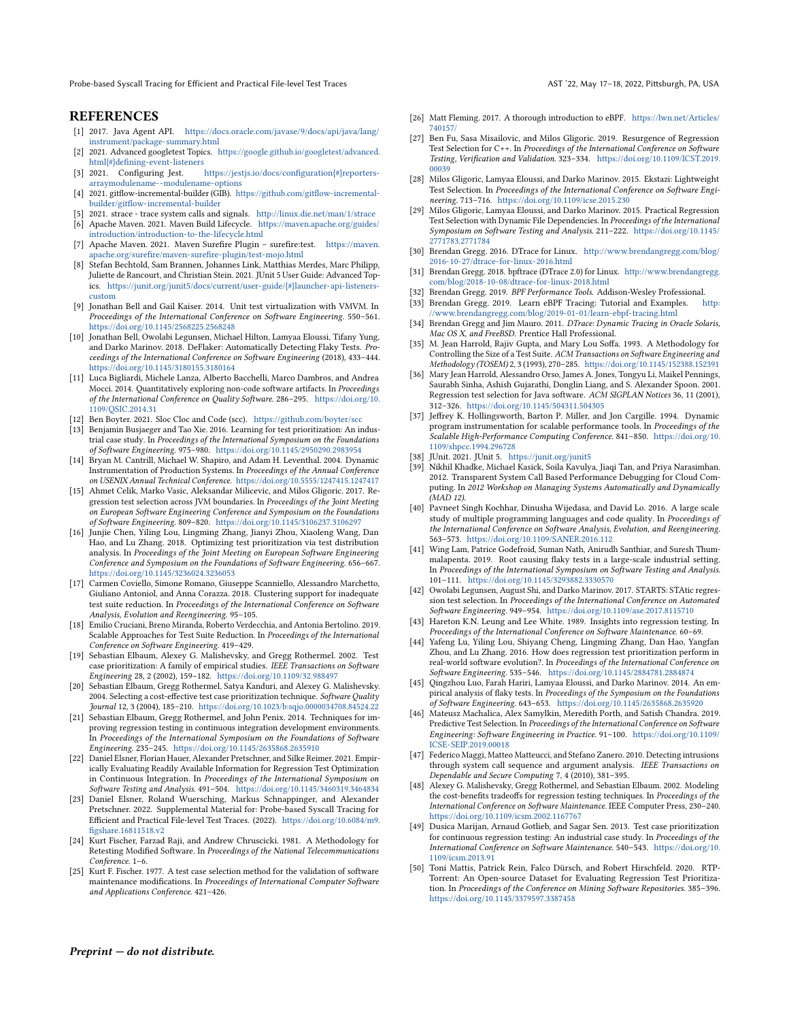Probe-based Syscall Tracing for Efficient and Practical File-level Test Traces AST '22, May 17-18, 2022, Pittsburgh, PA, USA

# **REFERENCES**

- <span id="page-10-44"></span>[1] 2017. Java Agent API. [https://docs.oracle.com/javase/9/docs/api/java/lang/](https://docs.oracle.com/javase/9/docs/api/java/lang/instrument/package-summary.html) [instrument/package-summary.html](https://docs.oracle.com/javase/9/docs/api/java/lang/instrument/package-summary.html)
- <span id="page-10-42"></span>[2] 2021. Advanced googletest Topics. [https://google.github.io/googletest/advanced.](https://google.github.io/googletest/advanced.html{#}defining-event-listeners) [html{#}defining-event-listeners](https://google.github.io/googletest/advanced.html{#}defining-event-listeners)
- <span id="page-10-43"></span>[3] 2021. Configuring Jest. [https://jestjs.io/docs/configuration{#}reporters](https://jestjs.io/docs/configuration{#}reporters-arraymodulename--modulename-options)[arraymodulename--modulename-options](https://jestjs.io/docs/configuration{#}reporters-arraymodulename--modulename-options)
- <span id="page-10-48"></span>[4] 2021. gitflow-incremental-builder (GIB). [https://github.com/gitflow-incremental](https://github.com/gitflow-incremental-builder/gitflow-incremental-builder)[builder/gitflow-incremental-builder](https://github.com/gitflow-incremental-builder/gitflow-incremental-builder)
- <span id="page-10-32"></span>[5] 2021. strace - trace system calls and signals. <http://linux.die.net/man/1/strace>
- <span id="page-10-25"></span>[6] Apache Maven. 2021. Maven Build Lifecycle. [https://maven.apache.org/guides/](https://maven.apache.org/guides/introduction/introduction-to-the-lifecycle.html) [introduction/introduction-to-the-lifecycle.html](https://maven.apache.org/guides/introduction/introduction-to-the-lifecycle.html)
- <span id="page-10-28"></span>[7] Apache Maven. 2021. Maven Surefire Plugin – surefire:test. [https://maven.](https://maven.apache.org/surefire/maven-surefire-plugin/test-mojo.html) [apache.org/surefire/maven-surefire-plugin/test-mojo.html](https://maven.apache.org/surefire/maven-surefire-plugin/test-mojo.html)
- <span id="page-10-41"></span>[8] Stefan Bechtold, Sam Brannen, Johannes Link, Matthias Merdes, Marc Philipp, Juliette de Rancourt, and Christian Stein. 2021. JUnit 5 User Guide: Advanced Topics. [https://junit.org/junit5/docs/current/user-guide/{#}launcher-api-listeners](https://junit.org/junit5/docs/current/user-guide/{#}launcher-api-listeners-custom)[custom](https://junit.org/junit5/docs/current/user-guide/{#}launcher-api-listeners-custom)
- <span id="page-10-45"></span>[9] Jonathan Bell and Gail Kaiser. 2014. Unit test virtualization with VMVM. In Proceedings of the International Conference on Software Engineering. 550–561. <https://doi.org/10.1145/2568225.2568248>
- <span id="page-10-15"></span>[10] Jonathan Bell, Owolabi Legunsen, Michael Hilton, Lamyaa Eloussi, Tifany Yung, and Darko Marinov. 2018. DeFlaker: Automatically Detecting Flaky Tests. Proceedings of the International Conference on Software Engineering (2018), 433–444. <https://doi.org/10.1145/3180155.3180164>
- <span id="page-10-22"></span>[11] Luca Bigliardi, Michele Lanza, Alberto Bacchelli, Marco Dambros, and Andrea Mocci. 2014. Quantitatively exploring non-code software artifacts. In Proceedings of the International Conference on Quality Software. 286–295. [https://doi.org/10.](https://doi.org/10.1109/QSIC.2014.31) [1109/QSIC.2014.31](https://doi.org/10.1109/QSIC.2014.31)
- <span id="page-10-31"></span>[12] Ben Boyter. 2021. Sloc Cloc and Code (scc). <https://github.com/boyter/scc>
- <span id="page-10-7"></span>[13] Benjamin Busjaeger and Tao Xie. 2016. Learning for test prioritization: An industrial case study. In Proceedings of the International Symposium on the Foundations of Software Engineering. 975–980. <https://doi.org/10.1145/2950290.2983954> [14] Bryan M. Cantrill, Michael W. Shapiro, and Adam H. Leventhal. 2004. Dynamic
- <span id="page-10-35"></span>Instrumentation of Production Systems. In Proceedings of the Annual Conference on USENIX Annual Technical Conference. <https://doi.org/10.5555/1247415.1247417>
- <span id="page-10-2"></span>[15] Ahmet Celik, Marko Vasic, Aleksandar Milicevic, and Milos Gligoric. 2017. Regression test selection across JVM boundaries. In Proceedings of the Joint Meeting on European Software Engineering Conference and Symposium on the Foundations of Software Engineering. 809–820. <https://doi.org/10.1145/3106237.3106297>
- <span id="page-10-8"></span>[16] Junjie Chen, Yiling Lou, Lingming Zhang, Jianyi Zhou, Xiaoleng Wang, Dan Hao, and Lu Zhang. 2018. Optimizing test prioritization via test distribution analysis. In Proceedings of the Joint Meeting on European Software Engineering Conference and Symposium on the Foundations of Software Engineering. 656–667. <https://doi.org/10.1145/3236024.3236053>
- <span id="page-10-11"></span>[17] Carmen Coviello, Simone Romano, Giuseppe Scanniello, Alessandro Marchetto, Giuliano Antoniol, and Anna Corazza. 2018. Clustering support for inadequate test suite reduction. In Proceedings of the International Conference on Software Analysis, Evolution and Reengineering. 95–105.
- <span id="page-10-12"></span>[18] Emilio Cruciani, Breno Miranda, Roberto Verdecchia, and Antonia Bertolino. 2019. Scalable Approaches for Test Suite Reduction. In Proceedings of the International Conference on Software Engineering. 419–429.
- <span id="page-10-9"></span>[19] Sebastian Elbaum, Alexey G. Malishevsky, and Gregg Rothermel. 2002. Test case prioritization: A family of empirical studies. IEEE Transactions on Software Engineering 28, 2 (2002), 159–182. <https://doi.org/10.1109/32.988497>
- [20] Sebastian Elbaum, Gregg Rothermel, Satya Kanduri, and Alexey G. Malishevsky. 2004. Selecting a cost-effective test case prioritization technique. Software Quality Journal 12, 3 (2004), 185–210. <https://doi.org/10.1023/b:sqjo.0000034708.84524.22>
- <span id="page-10-3"></span>[21] Sebastian Elbaum, Gregg Rothermel, and John Penix. 2014. Techniques for improving regression testing in continuous integration development environments. In Proceedings of the International Symposium on the Foundations of Software Engineering. 235–245. <https://doi.org/10.1145/2635868.2635910>
- <span id="page-10-4"></span>[22] Daniel Elsner, Florian Hauer, Alexander Pretschner, and Silke Reimer. 2021. Empirically Evaluating Readily Available Information for Regression Test Optimization in Continuous Integration. In Proceedings of the International Symposium on Software Testing and Analysis. 491–504. <https://doi.org/10.1145/3460319.3464834>
- <span id="page-10-30"></span>[23] Daniel Elsner, Roland Wuersching, Markus Schnappinger, and Alexander Pretschner. 2022. Supplemental Material for: Probe-based Syscall Tracing for Efficient and Practical File-level Test Traces. (2022). [https://doi.org/10.6084/m9.](https://doi.org/10.6084/m9.figshare.16811518.v2) [figshare.16811518.v2](https://doi.org/10.6084/m9.figshare.16811518.v2)
- <span id="page-10-1"></span>[24] Kurt Fischer, Farzad Raji, and Andrew Chruscicki. 1981. A Methodology for Retesting Modified Software. In Proceedings of the National Telecommunications Conference. 1–6.
- <span id="page-10-18"></span>[25] Kurt F. Fischer. 1977. A test case selection method for the validation of software maintenance modifications. In Proceedings of International Computer Software and Applications Conference. 421–426.
- <span id="page-10-39"></span>[26] Matt Fleming. 2017. A thorough introduction to eBPF. [https://lwn.net/Articles/](https://lwn.net/Articles/740157/) [740157/](https://lwn.net/Articles/740157/)
- <span id="page-10-27"></span>[27] Ben Fu, Sasa Misailovic, and Milos Gligoric. 2019. Resurgence of Regression Test Selection for C++. In Proceedings of the International Conference on Software Testing, Verification and Validation. 323–334. [https://doi.org/10.1109/ICST.2019.](https://doi.org/10.1109/ICST.2019.00039) [00039](https://doi.org/10.1109/ICST.2019.00039)
- <span id="page-10-5"></span>[28] Milos Gligoric, Lamyaa Eloussi, and Darko Marinov. 2015. Ekstazi: Lightweight Test Selection. In Proceedings of the International Conference on Software Engineering. 713–716. <https://doi.org/10.1109/icse.2015.230>
- <span id="page-10-20"></span>[29] Milos Gligoric, Lamyaa Eloussi, and Darko Marinov. 2015. Practical Regression Test Selection with Dynamic File Dependencies. In Proceedings of the International Symposium on Software Testing and Analysis. 211–222. [https://doi.org/10.1145/](https://doi.org/10.1145/2771783.2771784) [2771783.2771784](https://doi.org/10.1145/2771783.2771784)
- <span id="page-10-23"></span>[30] Brendan Gregg. 2016. DTrace for Linux. [http://www.brendangregg.com/blog/](http://www.brendangregg.com/blog/2016-10-27/dtrace-for-linux-2016.html) [2016-10-27/dtrace-for-linux-2016.html](http://www.brendangregg.com/blog/2016-10-27/dtrace-for-linux-2016.html)
- <span id="page-10-40"></span>[31] Brendan Gregg. 2018. bpftrace (DTrace 2.0) for Linux. [http://www.brendangregg.](http://www.brendangregg.com/blog/2018-10-08/dtrace-for-linux-2018.html) [com/blog/2018-10-08/dtrace-for-linux-2018.html](http://www.brendangregg.com/blog/2018-10-08/dtrace-for-linux-2018.html)
- <span id="page-10-36"></span>[32] Brendan Gregg. 2019. BPF Performance Tools. Addison-Wesley Professional.<br>[33] Brendan Gregg. 2019. Learn eBPF Tracing: Tutorial and Examples. http:
- <span id="page-10-24"></span>Brendan Gregg. 2019. Learn eBPF Tracing: Tutorial and Examples. [//www.brendangregg.com/blog/2019-01-01/learn-ebpf-tracing.html](http://www.brendangregg.com/blog/2019-01-01/learn-ebpf-tracing.html)
- <span id="page-10-37"></span>[34] Brendan Gregg and Jim Mauro. 2011. DTrace: Dynamic Tracing in Oracle Solaris, Mac OS X, and FreeBSD. Prentice Hall Professional.
- <span id="page-10-13"></span>[35] M. Jean Harrold, Rajiv Gupta, and Mary Lou Soffa. 1993. A Methodology for Controlling the Size of a Test Suite. ACM Transactions on Software Engineering and Methodology (TOSEM) 2, 3 (1993), 270–285. <https://doi.org/10.1145/152388.152391>
- <span id="page-10-19"></span>[36] Mary Jean Harrold, Alessandro Orso, James A. Jones, Tongyu Li, Maikel Pennings, Saurabh Sinha, Ashish Gujarathi, Donglin Liang, and S. Alexander Spoon. 2001. Regression test selection for Java software. ACM SIGPLAN Notices 36, 11 (2001), 312–326. <https://doi.org/10.1145/504311.504305>
- <span id="page-10-38"></span>[37] Jeffrey K. Hollingsworth, Barton P. Miller, and Jon Cargille. 1994. Dynamic program instrumentation for scalable performance tools. In Proceedings of the Scalable High-Performance Computing Conference. 841–850. [https://doi.org/10.](https://doi.org/10.1109/shpcc.1994.296728) [1109/shpcc.1994.296728](https://doi.org/10.1109/shpcc.1994.296728)
- <span id="page-10-29"></span>
- <span id="page-10-33"></span>[38] JUnit. 2021. JUnit 5. <https://junit.org/junit5> [39] Nikhil Khadke, Michael Kasick, Soila Kavulya, Jiaqi Tan, and Priya Narasimhan. 2012. Transparent System Call Based Performance Debugging for Cloud Computing. In 2012 Workshop on Managing Systems Automatically and Dynamically (MAD 12).
- <span id="page-10-47"></span>[40] Pavneet Singh Kochhar, Dinusha Wijedasa, and David Lo. 2016. A large scale study of multiple programming languages and code quality. In Proceedings of the International Conference on Software Analysis, Evolution, and Reengineering. 563–573. <https://doi.org/10.1109/SANER.2016.112>
- <span id="page-10-16"></span>[41] Wing Lam, Patrice Godefroid, Suman Nath, Anirudh Santhiar, and Suresh Thummalapenta. 2019. Root causing flaky tests in a large-scale industrial setting. In Proceedings of the International Symposium on Software Testing and Analysis. 101–111. <https://doi.org/10.1145/3293882.3330570>
- <span id="page-10-6"></span>[42] Owolabi Legunsen, August Shi, and Darko Marinov. 2017. STARTS: STAtic regression test selection. In Proceedings of the International Conference on Automated Software Engineering. 949–954. <https://doi.org/10.1109/ase.2017.8115710>
- <span id="page-10-0"></span>[43] Hareton K.N. Leung and Lee White. 1989. Insights into regression testing. In Proceedings of the International Conference on Software Maintenance. 60–69.
- <span id="page-10-46"></span>[44] Yafeng Lu, Yiling Lou, Shiyang Cheng, Lingming Zhang, Dan Hao, Yangfan Zhou, and Lu Zhang. 2016. How does regression test prioritization perform in real-world software evolution?. In Proceedings of the International Conference on Software Engineering. 535–546. <https://doi.org/10.1145/2884781.2884874>
- <span id="page-10-17"></span>[45] Qingzhou Luo, Farah Hariri, Lamyaa Eloussi, and Darko Marinov. 2014. An empirical analysis of flaky tests. In Proceedings of the Symposium on the Foundations of Software Engineering. 643–653. <https://doi.org/10.1145/2635868.2635920>
- <span id="page-10-21"></span>[46] Mateusz Machalica, Alex Samylkin, Meredith Porth, and Satish Chandra. 2019. Predictive Test Selection. In Proceedings of the International Conference on Software Engineering: Software Engineering in Practice. 91–100. [https://doi.org/10.1109/](https://doi.org/10.1109/ICSE-SEIP.2019.00018) [ICSE-SEIP.2019.00018](https://doi.org/10.1109/ICSE-SEIP.2019.00018)
- <span id="page-10-34"></span>[47] Federico Maggi, Matteo Matteucci, and Stefano Zanero. 2010. Detecting intrusions through system call sequence and argument analysis. IEEE Transactions on Dependable and Secure Computing 7, 4 (2010), 381–395.
- <span id="page-10-14"></span>[48] Alexey G. Malishevsky, Gregg Rothermel, and Sebastian Elbaum. 2002. Modeling the cost-benefits tradeoffs for regression testing techniques. In Proceedings of the International Conference on Software Maintenance. IEEE Computer Press, 230–240. <https://doi.org/10.1109/icsm.2002.1167767>
- <span id="page-10-10"></span>[49] Dusica Marijan, Arnaud Gotlieb, and Sagar Sen. 2013. Test case prioritization for continuous regression testing: An industrial case study. In Proceedings of the International Conference on Software Maintenance. 540–543. [https://doi.org/10.](https://doi.org/10.1109/icsm.2013.91) [1109/icsm.2013.91](https://doi.org/10.1109/icsm.2013.91)
- <span id="page-10-26"></span>[50] Toni Mattis, Patrick Rein, Falco Dürsch, and Robert Hirschfeld. 2020. RTP-Torrent: An Open-source Dataset for Evaluating Regression Test Prioritization. In Proceedings of the Conference on Mining Software Repositories. 385–396. <https://doi.org/10.1145/3379597.3387458>